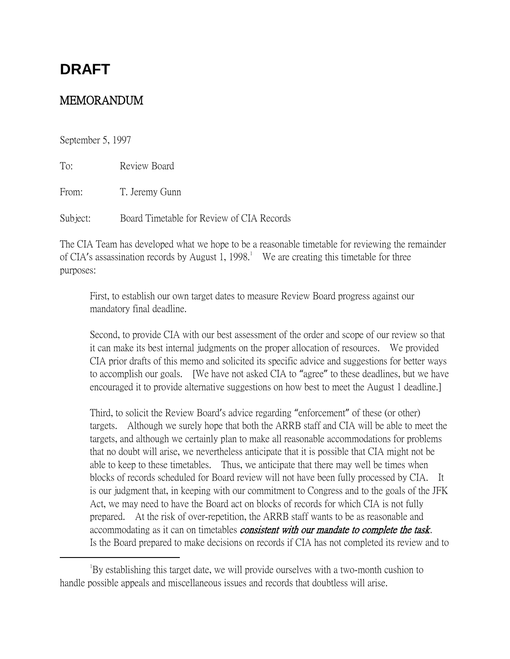# **DRAFT**

# MEMORANDUM

September 5, 1997

 $\overline{a}$ 

To: Review Board

From: T. Jeremy Gunn

Subject: Board Timetable for Review of CIA Records

The CIA Team has developed what we hope to be a reasonable timetable for reviewing the remainder of CIA's assassination records by August 1, 1998.<sup>1</sup> We are creating this timetable for three purposes:

First, to establish our own target dates to measure Review Board progress against our mandatory final deadline.

Second, to provide CIA with our best assessment of the order and scope of our review so that it can make its best internal judgments on the proper allocation of resources. We provided CIA prior drafts of this memo and solicited its specific advice and suggestions for better ways to accomplish our goals. [We have not asked CIA to "agree" to these deadlines, but we have encouraged it to provide alternative suggestions on how best to meet the August 1 deadline.]

Third, to solicit the Review Board's advice regarding "enforcement" of these (or other) targets. Although we surely hope that both the ARRB staff and CIA will be able to meet the targets, and although we certainly plan to make all reasonable accommodations for problems that no doubt will arise, we nevertheless anticipate that it is possible that CIA might not be able to keep to these timetables. Thus, we anticipate that there may well be times when blocks of records scheduled for Board review will not have been fully processed by CIA. It is our judgment that, in keeping with our commitment to Congress and to the goals of the JFK Act, we may need to have the Board act on blocks of records for which CIA is not fully prepared. At the risk of over-repetition, the ARRB staff wants to be as reasonable and accommodating as it can on timetables *consistent with our mandate to complete the task*. Is the Board prepared to make decisions on records if CIA has not completed its review and to

<sup>&</sup>lt;sup>1</sup>By establishing this target date, we will provide ourselves with a two-month cushion to handle possible appeals and miscellaneous issues and records that doubtless will arise.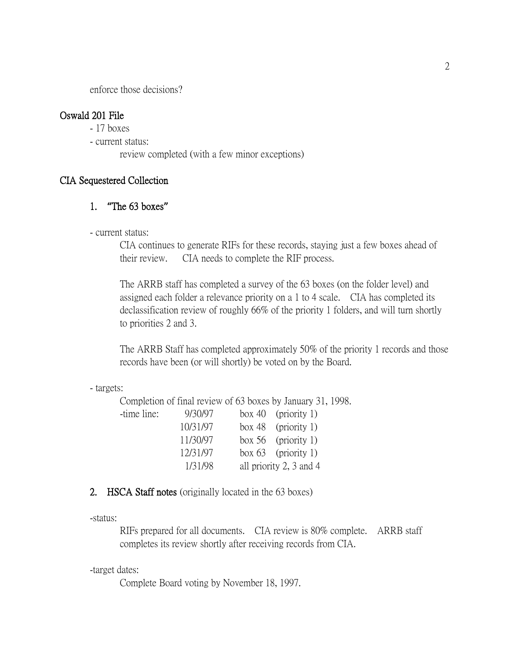enforce those decisions?

#### Oswald 201 File

- 17 boxes
- current status:
	- review completed (with a few minor exceptions)

#### CIA Sequestered Collection

## 1. **"**The 63 boxes**"**

- current status:

CIA continues to generate RIFs for these records, staying just a few boxes ahead of their review. CIA needs to complete the RIF process.

The ARRB staff has completed a survey of the 63 boxes (on the folder level) and assigned each folder a relevance priority on a 1 to 4 scale. CIA has completed its declassification review of roughly 66% of the priority 1 folders, and will turn shortly to priorities 2 and 3.

The ARRB Staff has completed approximately 50% of the priority 1 records and those records have been (or will shortly) be voted on by the Board.

#### - targets:

Completion of final review of 63 boxes by January 31, 1998.

| -time line: | 9/30/97  | box 40 (priority 1)     |  |
|-------------|----------|-------------------------|--|
|             | 10/31/97 | box 48 (priority 1)     |  |
|             | 11/30/97 | box 56 (priority 1)     |  |
|             | 12/31/97 | box $63$ (priority 1)   |  |
|             | 1/31/98  | all priority 2, 3 and 4 |  |

#### 2. HSCA Staff notes (originally located in the 63 boxes)

-status:

RIFs prepared for all documents. CIA review is 80% complete. ARRB staff completes its review shortly after receiving records from CIA.

-target dates:

Complete Board voting by November 18, 1997.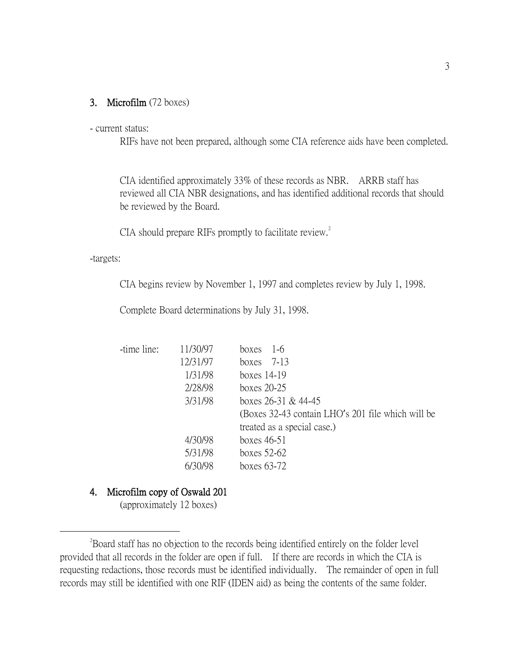#### 3. Microfilm (72 boxes)

#### - current status:

RIFs have not been prepared, although some CIA reference aids have been completed.

CIA identified approximately 33% of these records as NBR. ARRB staff has reviewed all CIA NBR designations, and has identified additional records that should be reviewed by the Board.

CIA should prepare RIFs promptly to facilitate review.<sup>2</sup>

-targets:

 $\overline{a}$ 

CIA begins review by November 1, 1997 and completes review by July 1, 1998.

Complete Board determinations by July 31, 1998.

| -time line: | 11/30/97 | $1-6$<br>boxes                                    |
|-------------|----------|---------------------------------------------------|
|             | 12/31/97 | boxes $7-13$                                      |
|             | 1/31/98  | boxes $14-19$                                     |
|             | 2/28/98  | boxes $20-25$                                     |
|             | 3/31/98  | boxes $26-31$ & 44-45                             |
|             |          | (Boxes 32-43 contain LHO's 201 file which will be |
|             |          | treated as a special case.)                       |
|             | 4/30/98  | boxes $46-51$                                     |
|             | 5/31/98  | boxes $52-62$                                     |
|             | 6/30/98  | boxes $63-72$                                     |
|             |          |                                                   |

#### 4. Microfilm copy of Oswald 201

(approximately 12 boxes)

<sup>&</sup>lt;sup>2</sup>Board staff has no objection to the records being identified entirely on the folder level provided that all records in the folder are open if full. If there are records in which the CIA is requesting redactions, those records must be identified individually. The remainder of open in full records may still be identified with one RIF (IDEN aid) as being the contents of the same folder.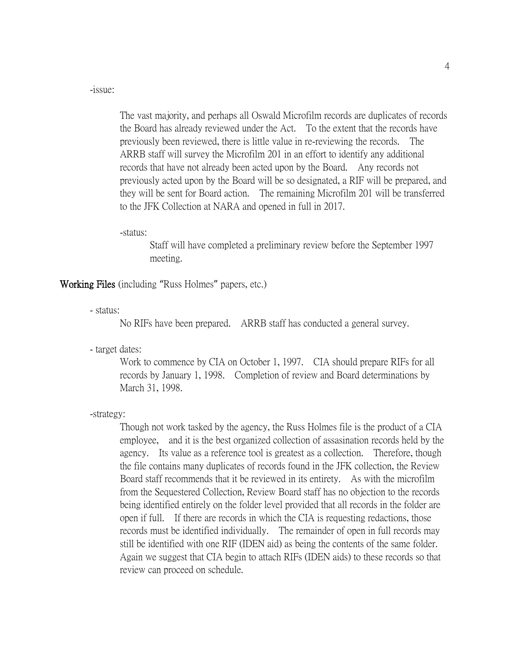-issue:

The vast majority, and perhaps all Oswald Microfilm records are duplicates of records the Board has already reviewed under the Act. To the extent that the records have previously been reviewed, there is little value in re-reviewing the records. The ARRB staff will survey the Microfilm 201 in an effort to identify any additional records that have not already been acted upon by the Board. Any records not previously acted upon by the Board will be so designated, a RIF will be prepared, and they will be sent for Board action. The remaining Microfilm 201 will be transferred to the JFK Collection at NARA and opened in full in 2017.

-status:

Staff will have completed a preliminary review before the September 1997 meeting.

Working Files (including "Russ Holmes" papers, etc.)

- status:

No RIFs have been prepared. ARRB staff has conducted a general survey.

- target dates:

Work to commence by CIA on October 1, 1997. CIA should prepare RIFs for all records by January 1, 1998. Completion of review and Board determinations by March 31, 1998.

-strategy:

Though not work tasked by the agency, the Russ Holmes file is the product of a CIA employee, and it is the best organized collection of assasination records held by the agency. Its value as a reference tool is greatest as a collection. Therefore, though the file contains many duplicates of records found in the JFK collection, the Review Board staff recommends that it be reviewed in its entirety. As with the microfilm from the Sequestered Collection, Review Board staff has no objection to the records being identified entirely on the folder level provided that all records in the folder are open if full. If there are records in which the CIA is requesting redactions, those records must be identified individually. The remainder of open in full records may still be identified with one RIF (IDEN aid) as being the contents of the same folder. Again we suggest that CIA begin to attach RIFs (IDEN aids) to these records so that review can proceed on schedule.